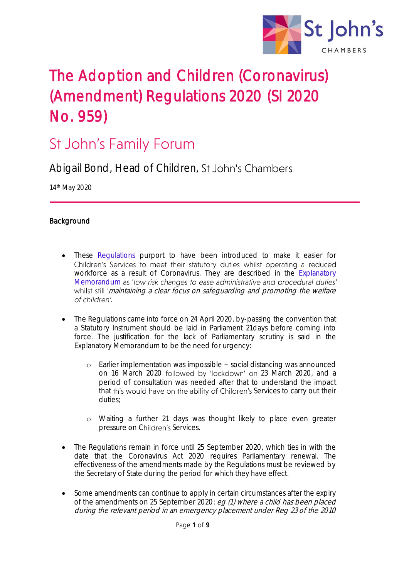

# The Adoption and Children (Coronavirus) (Amendment) Regulations 2020 (SI 2020 No. 959)

# **St John's Family Forum**

Abigail Bond, Head of Children, St John's Chambers

14th May 2020

# Background

- These [Regulations](http://www.legislation.gov.uk/uksi/2020/445/contents/made) purport to have been introduced to make it easier for Children's Services to meet their statutory duties whilst operating a reduced workforce as a result of Coronavirus. They are described in the [Explanatory](http://www.legislation.gov.uk/uksi/2020/445/pdfs/uksiem_20200445_en.pdf)  [Memorandum](http://www.legislation.gov.uk/uksi/2020/445/pdfs/uksiem_20200445_en.pdf) as 'low risk changes to ease administrative and procedural duties' whilst still 'maintaining a clear focus on safeguarding and promoting the welfare of children'.
- The Regulations came into force on 24 April 2020, by-passing the convention that a Statutory Instrument should be laid in Parliament 21days before coming into force. The justification for the lack of Parliamentary scrutiny is said in the Explanatory Memorandum to be the need for urgency:
	- o Earlier implementation was impossible social distancing was announced on 16 March 2020 followed by 'lockdown' on 23 March 2020, and a period of consultation was needed after that to understand the impact that this would have on the ability of Children's Services to carry out their duties;
	- o Waiting a further 21 days was thought likely to place even greater pressure on Children's Services.
- The Regulations remain in force until 25 September 2020, which ties in with the date that the Coronavirus Act 2020 requires Parliamentary renewal. The effectiveness of the amendments made by the Regulations must be reviewed by the Secretary of State during the period for which they have effect.
- Some amendments can continue to apply in certain circumstances after the expiry of the amendments on 25 September 2020: eg (1) where a child has been placed during the relevant period in an emergency placement under Reg 23 of the 2010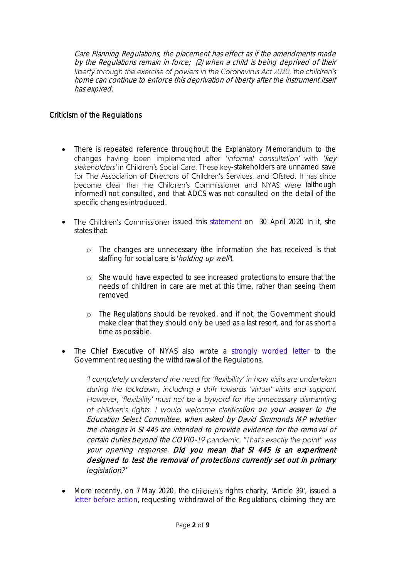Care Planning Regulations, the placement has effect as if the amendments made by the Regulations remain in force; (2) when a child is being deprived of their<br>liberty through the exercise of powers in the Coronavirus Act 2020, the children's home can continue to enforce this deprivation of liberty after the instrument itself has expired.

# Criticism of the Regulations

- There is repeated reference throughout the Explanatory Memorandum to the changes having been implemented after 'informal consultation' with 'key stakeholders' in Children's Social Care. These key-stakeholders are unnamed save for The Association of Directors of Children's Services, and Ofsted. It has since become clear that the Children's Commissioner and NYAS were (although informed) not consulted, and that ADCS was not consulted on the detail of the specific changes introduced.
- The Children's Commissioner issued this [statement](https://www.childrenscommissioner.gov.uk/2020/04/30/statement-on-changes-to-regulations-affecting-childrens-social-care/:.) on 30 April 2020 In it, she states that:
	- o The changes are unnecessary (the information she has received is that staffing for social care is 'holding up well').
	- o She would have expected to see increased protections to ensure that the needs of children in care are met at this time, rather than seeing them removed
	- o The Regulations should be revoked, and if not, the Government should make clear that they should only be used as a last resort, and for as short a time as possible.
- The Chief Executive of NYAS also wrote a [strongly worded letter](https://www.nyas.net/wp-content/uploads/NYAS-letter-to-the-Minister-for-Children-and-Families-30.04.2020-1.pdf) to the Government requesting the withdrawal of the Regulations.

'I completely understand the need for 'flexibility' in how visits are undertaken during the lockdown, including a shift towards 'virtual' visits and support. However, 'flexibility' must not be a byword for the unnecessary dismantling of children's rights. I would welcome clarification on your answer to the Education Select Committee, when asked by David Simmonds MP whether the changes in SI 445 are intended to provide evidence for the removal of certain duties beyond the COVID-19 pandemic. "That's exactly the point" was your opening response. Did you mean that SI 445 is an experiment designed to test the removal of protections currently set out in primary legislation?'

• More recently, on 7 May 2020, the children's rights charity, 'Article 39', issued a [letter before action,](https://article39.org.uk/news/) requesting withdrawal of the Regulations, claiming they are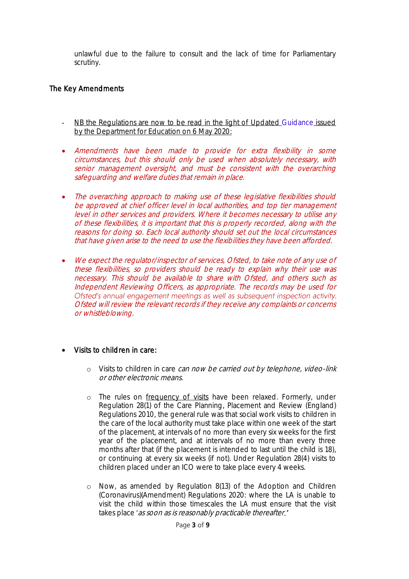unlawful due to the failure to consult and the lack of time for Parliamentary scrutiny.

# The Key Amendments

- NB the Regulations are now to be read in the light of Updated [Guidance](https://www.gov.uk/government/publications/coronavirus-covid-19-guidance-for-childrens-social-care-services) issued by the Department for Education on 6 May 2020:
- Amendments have been made to provide for extra flexibility in some circumstances, but this should only be used when absolutely necessary, with senior management oversight, and must be consistent with the overarching safeguarding and welfare duties that remain in place.
- The overarching approach to making use of these legislative flexibilities should be approved at chief officer level in local authorities, and top tier management level in other services and providers. Where it becomes necessary to utilise any of these flexibilities, it is important that this is properly recorded, along with the reasons for doing so. Each local authority should set out the local circumstances that have given arise to the need to use the flexibilities they have been afforded.
- We expect the requiator/inspector of services, Ofsted, to take note of any use of these flexibilities, so providers should be ready to explain why their use was necessary. This should be available to share with Ofsted, and others such as Independent Reviewing Officers, as appropriate. The records may be used for Ofsted's annual engagement meetings as well as subsequent inspection activity. Ofsted will review the relevant records if they receive any complaints or concerns or whistleblowing.

# Visits to children in care:

- o Visits to children in care can now be carried out by telephone, video-link or other electronic means.
- o The rules on frequency of visits have been relaxed. Formerly, under Regulation 28(1) of the Care Planning, Placement and Review (England) Regulations 2010, the general rule was that social work visits to children in the care of the local authority must take place within one week of the start of the placement, at intervals of no more than every six weeks for the first year of the placement, and at intervals of no more than every three months after that (if the placement is intended to last until the child is 18), or continuing at every six weeks (if not). Under Regulation 28(4) visits to children placed under an ICO were to take place every 4 weeks.
- o Now, as amended by Regulation 8(13) of the Adoption and Children (Coronavirus)(Amendment) Regulations 2020: where the LA is unable to visit the child within those timescales the LA must ensure that the visit takes place 'as soon as is reasonably practicable thereafter.'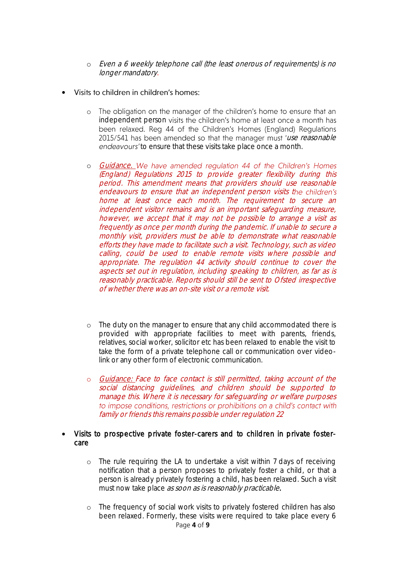- o Even a 6 weekly telephone call (the least onerous of requirements) is no longer mandatory.
- Visits to children in children's homes:  $\bullet$ 
	- o The obligation on the manager of the children's home to ensure that an independent person visits the children's home at least once a month has been relaxed. Reg 44 of the Children's Homes (England) Regulations 2015/541 has been amended so that the manager must 'use reasonable endeavours' to ensure that these visits take place once a month.
	- o Guidance. We have amended requlation 44 of the Children's Homes (England) Regulations 2015 to provide greater flexibility during this period. This amendment means that providers should use reasonable endeavours to ensure that an independent person visits the children's home at least once each month. The requirement to secure an independent visitor remains and is an important safeguarding measure, however, we accept that it may not be possible to arrange a visit as frequently as once per month during the pandemic. If unable to secure a monthly visit, providers must be able to demonstrate what reasonable efforts they have made to facilitate such a visit. Technology, such as video calling, could be used to enable remote visits where possible and appropriate. The regulation 44 activity should continue to cover the aspects set out in regulation, including speaking to children, as far as is reasonably practicable. Reports should still be sent to Ofsted irrespective of whether there was an on-site visit or a remote visit.
	- o The duty on the manager to ensure that any child accommodated there is provided with appropriate facilities to meet with parents, friends, relatives, social worker, solicitor etc has been relaxed to enable the visit to take the form of a private telephone call or communication over videolink or any other form of electronic communication.
	- o Guidance: Face to face contact is still permitted, taking account of the social distancing guidelines, and children should be supported to manage this. Where it is necessary for safeguarding or welfare purposes to impose conditions, restrictions or prohibitions on a child's contact with family or friends this remains possible under regulation 22

### Visits to prospective private foster-carers and to children in private fostercare

- o The rule requiring the LA to undertake a visit within 7 days of receiving notification that a person proposes to privately foster a child, or that a person is already privately fostering a child, has been relaxed. Such a visit must now take place as soon as is reasonably practicable.
- Page **4** of **9** o The frequency of social work visits to privately fostered children has also been relaxed. Formerly, these visits were required to take place every 6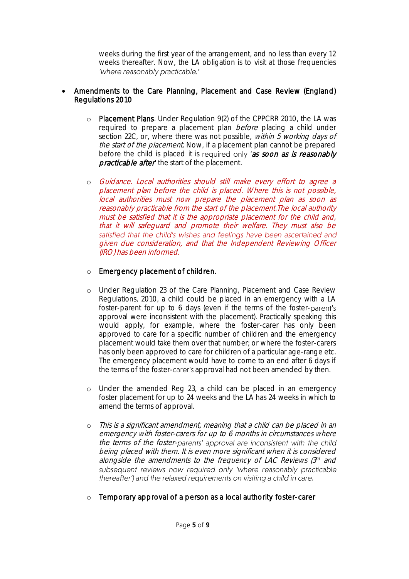weeks during the first year of the arrangement, and no less than every 12 weeks thereafter. Now, the LA obligation is to visit at those frequencies 'where reasonably practicable.'

# Amendments to the Care Planning, Placement and Case Review (England) Regulations 2010

- o Placement Plans. Under Regulation 9(2) of the CPPCRR 2010, the LA was required to prepare a placement plan before placing a child under section 22C, or, where there was not possible, within 5 working days of the start of the placement. Now, if a placement plan cannot be prepared before the child is placed it is required only 'as soon as is reasonably practicable after the start of the placement.
- o Guidance. Local authorities should still make every effort to agree a placement plan before the child is placed. Where this is not possible, local authorities must now prepare the placement plan as soon as reasonably practicable from the start of the placement.The local authority must be satisfied that it is the appropriate placement for the child and, that it will safeguard and promote their welfare. They must also be satisfied that the child's wishes and feelings have been ascertained and given due consideration, and that the Independent Reviewing Officer (IRO) has been informed.

# o Emergency placement of children.

- o Under Regulation 23 of the Care Planning, Placement and Case Review Regulations, 2010, a child could be placed in an emergency with a LA foster-parent for up to 6 days (even if the terms of the fosterapproval were inconsistent with the placement). Practically speaking this would apply, for example, where the foster-carer has only been approved to care for a specific number of children and the emergency placement would take them over that number; or where the foster-carers has only been approved to care for children of a particular age-range etc. The emergency placement would have to come to an end after 6 days if the terms of the foster-carer's approval had not been amended by then.
- o Under the amended Reg 23, a child can be placed in an emergency foster placement for up to 24 weeks and the LA has 24 weeks in which to amend the terms of approval.
- o This is a significant amendment, meaning that a child can be placed in an emergency with foster-carers for up to 6 months in circumstances where the terms of the foster-parents' approval are inconsistent with the child being placed with them. It is even more significant when it is considered alongside the amendments to the frequency of LAC Reviews (3<sup>d</sup> and subsequent reviews now required only 'where reasonably practicable thereafter') and the relaxed requirements on visiting a child in care.
- o Temporary approval of a person as a local authority foster-carer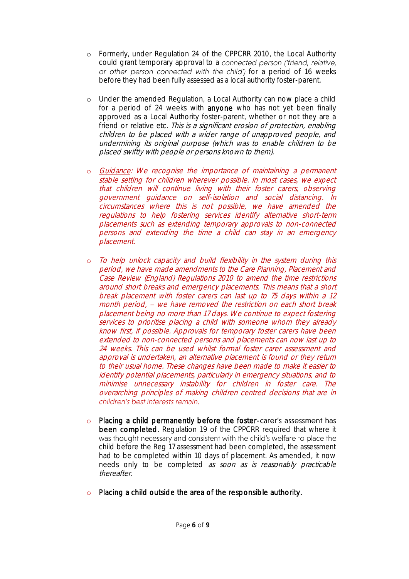- o Formerly, under Regulation 24 of the CPPCRR 2010, the Local Authority could grant temporary approval to a connected person ('friend, relative, or other person connected with the child') for a period of 16 weeks before they had been fully assessed as a local authority foster-parent.
- o Under the amended Regulation, a Local Authority can now place a child for a period of 24 weeks with **anyone** who has not yet been finally approved as a Local Authority foster-parent, whether or not they are a friend or relative etc. This is a significant erosion of protection, enabling children to be placed with a wider range of unapproved people, and undermining its original purpose (which was to enable children to be placed swiftly with people or persons known to them).
- o Guidance: We recognise the importance of maintaining a permanent stable setting for children wherever possible. In most cases, we expect that children will continue living with their foster carers, observing government guidance on self-isolation and social distancing. In circumstances where this is not possible, we have amended the regulations to help fostering services identify alternative short-term placements such as extending temporary approvals to non-connected persons and extending the time a child can stay in an emergency placement.
- To help unlock capacity and build flexibility in the system during this period, we have made amendments to the Care Planning, Placement and Case Review (England) Regulations 2010 to amend the time restrictions around short breaks and emergency placements. This means that a short break placement with foster carers can last up to 75 days within a 12 month period, - we have removed the restriction on each short break placement being no more than 17 days. We continue to expect fostering services to prioritise placing a child with someone whom they already know first, if possible. Approvals for temporary foster carers have been extended to non-connected persons and placements can now last up to 24 weeks. This can be used whilst formal foster carer assessment and approval is undertaken, an alternative placement is found or they return to their usual home. These changes have been made to make it easier to identify potential placements, particularly in emergency situations, and to minimise unnecessary instability for children in foster care. The overarching principles of making children centred decisions that are in children's best interests remain.
- o Placing a child permanently before the foster-carer's assessment has been completed. Regulation 19 of the CPPCRR required that where it was thought necessary and consistent with the child's welfare to place the child before the Reg 17 assessment had been completed, the assessment had to be completed within 10 days of placement. As amended, it now needs only to be completed as soon as is reasonably practicable *thereafter*
- o Placing a child outside the area of the responsible authority.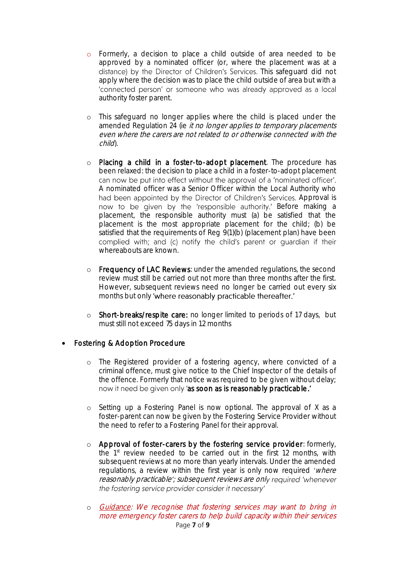- o Formerly, a decision to place a child outside of area needed to be approved by a nominated officer (or, where the placement was at a distance) by the Director of Children's Services. This safeguard did not apply where the decision was to place the child outside of area but with a 'connected person' or someone who was already approved as a local authority foster parent.
- o This safeguard no longer applies where the child is placed under the amended Regulation 24 (ie *it no longer applies to temporary placements* even where the carers are not related to or otherwise connected with the child).
- o Placing a child in a foster-to-adopt placement. The procedure has been relaxed: the decision to place a child in a foster-to-adopt placement can now be put into effect without the approval of a 'nominated officer'. A nominated officer was a Senior Officer within the Local Authority who had been appointed by the Director of Children's Services. Approval is now to be given by the 'responsible authority.' Before making a placement, the responsible authority must (a) be satisfied that the placement is the most appropriate placement for the child; (b) be satisfied that the requirements of Reg 9(1)(b) (placement plan) have been complied with; and (c) notify the child's parent or quardian if their whereabouts are known.
- o Frequency of LAC Reviews: under the amended regulations, the second review must still be carried out not more than three months after the first. However, subsequent reviews need no longer be carried out every six months but only 'where reasonably practicable thereafter.'
- o Short-breaks/respite care: no longer limited to periods of 17 days, but must still not exceed 75 days in 12 months

# Fostering & Adoption Procedure

- o The Registered provider of a fostering agency, where convicted of a criminal offence, must give notice to the Chief Inspector of the details of the offence. Formerly that notice was required to be given without delay; now it need be given only 'as soon as is reasonably practicable.'
- o Setting up a Fostering Panel is now optional. The approval of X as a foster-parent can now be given by the Fostering Service Provider without the need to refer to a Fostering Panel for their approval.
- o Approval of foster-carers by the fostering service provider: formerly, the 1st review needed to be carried out in the first 12 months, with subsequent reviews at no more than yearly intervals. Under the amended regulations, a review within the first year is only now required 'where reasonably practicable'; subsequent reviews are only required 'whenever the fostering service provider consider it necessary'
- Page **7** of **9** o Guidance: We recognise that fostering services may want to bring in more emergency foster carers to help build capacity within their services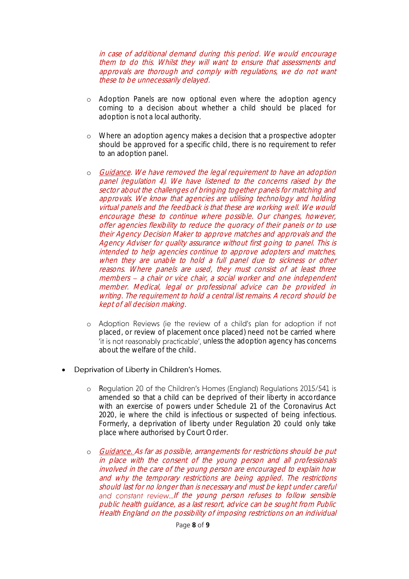in case of additional demand during this period. We would encourage them to do this. Whilst they will want to ensure that assessments and approvals are thorough and comply with regulations, we do not want these to be unnecessarily delayed.

- o Adoption Panels are now optional even where the adoption agency coming to a decision about whether a child should be placed for adoption is not a local authority.
- o Where an adoption agency makes a decision that a prospective adopter should be approved for a specific child, there is no requirement to refer to an adoption panel.
- o Guidance. We have removed the legal requirement to have an adoption panel (regulation 4). We have listened to the concerns raised by the sector about the challenges of bringing together panels for matching and approvals. We know that agencies are utilising technology and holding virtual panels and the feedback is that these are working well. We would encourage these to continue where possible. Our changes, however, offer agencies flexibility to reduce the quoracy of their panels or to use their Agency Decision Maker to approve matches and approvals and the Agency Adviser for quality assurance without first going to panel. This is intended to help agencies continue to approve adopters and matches, when they are unable to hold a full panel due to sickness or other reasons. Where panels are used, they must consist of at least three members - a chair or vice chair, a social worker and one independent member. Medical, legal or professional advice can be provided in writing. The requirement to hold a central list remains. A record should be kept of all decision making.
- o Adoption Reviews (ie the review of a child's plan for adoption if not placed, or review of placement once placed) need not be carried where 'it is not reasonably practicable', unless the adoption agency has concerns about the welfare of the child.

#### Deprivation of Liberty in Children's Homes.  $\bullet$

- o Regulation 20 of the Children's Homes (England) Regulations 2015/541 is amended so that a child can be deprived of their liberty in accordance with an exercise of powers under Schedule 21 of the Coronavirus Act 2020, ie where the child is infectious or suspected of being infectious. Formerly, a deprivation of liberty under Regulation 20 could only take place where authorised by Court Order.
- o Guidance. As far as possible, arrangements for restrictions should be put in place with the consent of the young person and all professionals involved in the care of the young person are encouraged to explain how and why the temporary restrictions are being applied. The restrictions should last for no longer than is necessary and must be kept under careful and constant review...If the young person refuses to follow sensible public health guidance, as a last resort, advice can be sought from Public Health England on the possibility of imposing restrictions on an individual